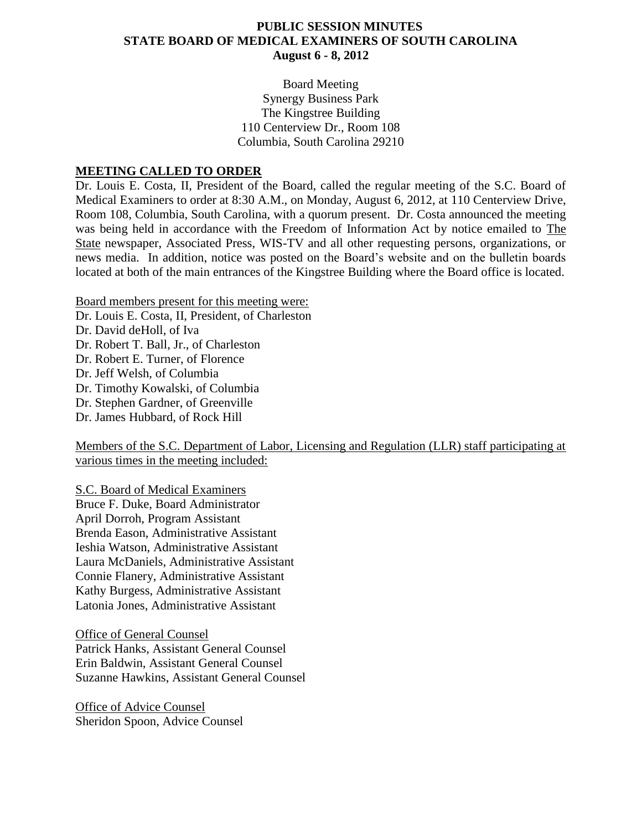#### **PUBLIC SESSION MINUTES STATE BOARD OF MEDICAL EXAMINERS OF SOUTH CAROLINA August 6 - 8, 2012**

Board Meeting Synergy Business Park The Kingstree Building 110 Centerview Dr., Room 108 Columbia, South Carolina 29210

#### **MEETING CALLED TO ORDER**

Dr. Louis E. Costa, II, President of the Board, called the regular meeting of the S.C. Board of Medical Examiners to order at 8:30 A.M., on Monday, August 6, 2012, at 110 Centerview Drive, Room 108, Columbia, South Carolina, with a quorum present. Dr. Costa announced the meeting was being held in accordance with the Freedom of Information Act by notice emailed to The State newspaper, Associated Press, WIS-TV and all other requesting persons, organizations, or news media. In addition, notice was posted on the Board's website and on the bulletin boards located at both of the main entrances of the Kingstree Building where the Board office is located.

Board members present for this meeting were:

Dr. Louis E. Costa, II, President, of Charleston

Dr. David deHoll, of Iva Dr. Robert T. Ball, Jr., of Charleston Dr. Robert E. Turner, of Florence Dr. Jeff Welsh, of Columbia Dr. Timothy Kowalski, of Columbia Dr. Stephen Gardner, of Greenville Dr. James Hubbard, of Rock Hill

Members of the S.C. Department of Labor, Licensing and Regulation (LLR) staff participating at various times in the meeting included:

S.C. Board of Medical Examiners Bruce F. Duke, Board Administrator April Dorroh, Program Assistant Brenda Eason, Administrative Assistant Ieshia Watson, Administrative Assistant Laura McDaniels, Administrative Assistant Connie Flanery, Administrative Assistant Kathy Burgess, Administrative Assistant Latonia Jones, Administrative Assistant

Office of General Counsel Patrick Hanks, Assistant General Counsel Erin Baldwin, Assistant General Counsel Suzanne Hawkins, Assistant General Counsel

Office of Advice Counsel Sheridon Spoon, Advice Counsel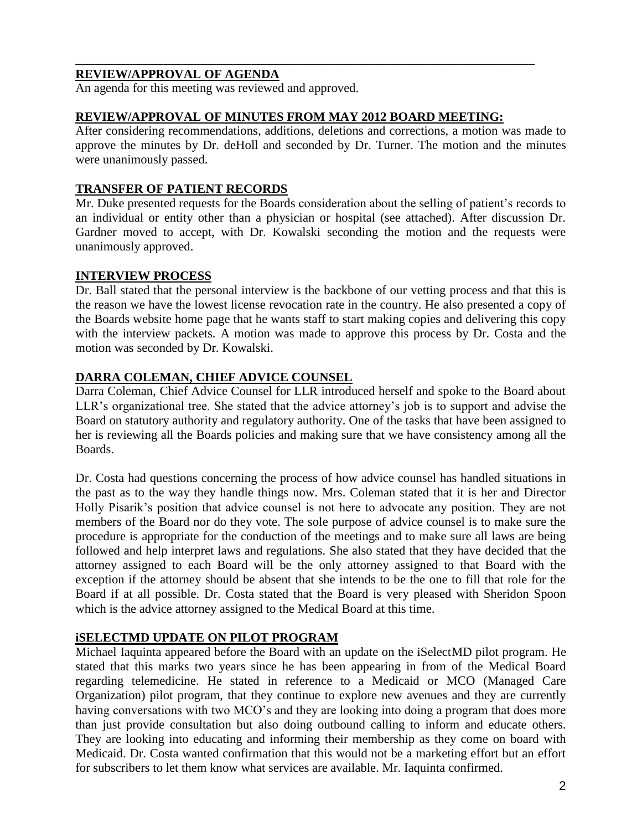### **REVIEW/APPROVAL OF AGENDA**

An agenda for this meeting was reviewed and approved.

#### **REVIEW/APPROVAL OF MINUTES FROM MAY 2012 BOARD MEETING:**

\_\_\_\_\_\_\_\_\_\_\_\_\_\_\_\_\_\_\_\_\_\_\_\_\_\_\_\_\_\_\_\_\_\_\_\_\_\_\_\_\_\_\_\_\_\_\_\_\_\_\_\_\_\_\_\_\_\_\_\_\_\_\_\_\_\_\_\_\_\_\_\_\_

After considering recommendations, additions, deletions and corrections, a motion was made to approve the minutes by Dr. deHoll and seconded by Dr. Turner. The motion and the minutes were unanimously passed.

#### **TRANSFER OF PATIENT RECORDS**

Mr. Duke presented requests for the Boards consideration about the selling of patient's records to an individual or entity other than a physician or hospital (see attached). After discussion Dr. Gardner moved to accept, with Dr. Kowalski seconding the motion and the requests were unanimously approved.

#### **INTERVIEW PROCESS**

Dr. Ball stated that the personal interview is the backbone of our vetting process and that this is the reason we have the lowest license revocation rate in the country. He also presented a copy of the Boards website home page that he wants staff to start making copies and delivering this copy with the interview packets. A motion was made to approve this process by Dr. Costa and the motion was seconded by Dr. Kowalski.

### **DARRA COLEMAN, CHIEF ADVICE COUNSEL**

Darra Coleman, Chief Advice Counsel for LLR introduced herself and spoke to the Board about LLR's organizational tree. She stated that the advice attorney's job is to support and advise the Board on statutory authority and regulatory authority. One of the tasks that have been assigned to her is reviewing all the Boards policies and making sure that we have consistency among all the Boards.

Dr. Costa had questions concerning the process of how advice counsel has handled situations in the past as to the way they handle things now. Mrs. Coleman stated that it is her and Director Holly Pisarik's position that advice counsel is not here to advocate any position. They are not members of the Board nor do they vote. The sole purpose of advice counsel is to make sure the procedure is appropriate for the conduction of the meetings and to make sure all laws are being followed and help interpret laws and regulations. She also stated that they have decided that the attorney assigned to each Board will be the only attorney assigned to that Board with the exception if the attorney should be absent that she intends to be the one to fill that role for the Board if at all possible. Dr. Costa stated that the Board is very pleased with Sheridon Spoon which is the advice attorney assigned to the Medical Board at this time.

### **iSELECTMD UPDATE ON PILOT PROGRAM**

Michael Iaquinta appeared before the Board with an update on the iSelectMD pilot program. He stated that this marks two years since he has been appearing in from of the Medical Board regarding telemedicine. He stated in reference to a Medicaid or MCO (Managed Care Organization) pilot program, that they continue to explore new avenues and they are currently having conversations with two MCO's and they are looking into doing a program that does more than just provide consultation but also doing outbound calling to inform and educate others. They are looking into educating and informing their membership as they come on board with Medicaid. Dr. Costa wanted confirmation that this would not be a marketing effort but an effort for subscribers to let them know what services are available. Mr. Iaquinta confirmed.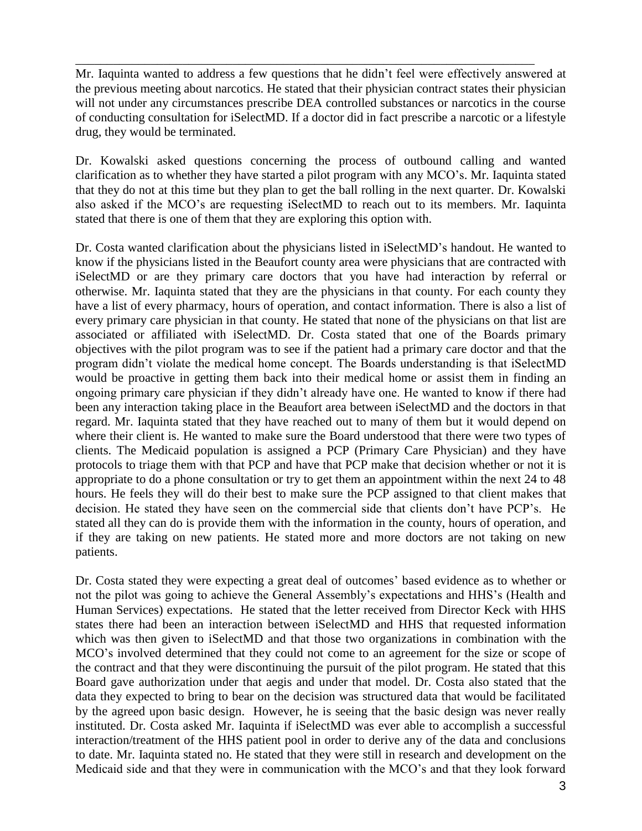Mr. Iaquinta wanted to address a few questions that he didn't feel were effectively answered at the previous meeting about narcotics. He stated that their physician contract states their physician will not under any circumstances prescribe DEA controlled substances or narcotics in the course of conducting consultation for iSelectMD. If a doctor did in fact prescribe a narcotic or a lifestyle drug, they would be terminated.

\_\_\_\_\_\_\_\_\_\_\_\_\_\_\_\_\_\_\_\_\_\_\_\_\_\_\_\_\_\_\_\_\_\_\_\_\_\_\_\_\_\_\_\_\_\_\_\_\_\_\_\_\_\_\_\_\_\_\_\_\_\_\_\_\_\_\_\_\_\_\_\_\_

Dr. Kowalski asked questions concerning the process of outbound calling and wanted clarification as to whether they have started a pilot program with any MCO's. Mr. Iaquinta stated that they do not at this time but they plan to get the ball rolling in the next quarter. Dr. Kowalski also asked if the MCO's are requesting iSelectMD to reach out to its members. Mr. Iaquinta stated that there is one of them that they are exploring this option with.

Dr. Costa wanted clarification about the physicians listed in iSelectMD's handout. He wanted to know if the physicians listed in the Beaufort county area were physicians that are contracted with iSelectMD or are they primary care doctors that you have had interaction by referral or otherwise. Mr. Iaquinta stated that they are the physicians in that county. For each county they have a list of every pharmacy, hours of operation, and contact information. There is also a list of every primary care physician in that county. He stated that none of the physicians on that list are associated or affiliated with iSelectMD. Dr. Costa stated that one of the Boards primary objectives with the pilot program was to see if the patient had a primary care doctor and that the program didn't violate the medical home concept. The Boards understanding is that iSelectMD would be proactive in getting them back into their medical home or assist them in finding an ongoing primary care physician if they didn't already have one. He wanted to know if there had been any interaction taking place in the Beaufort area between iSelectMD and the doctors in that regard. Mr. Iaquinta stated that they have reached out to many of them but it would depend on where their client is. He wanted to make sure the Board understood that there were two types of clients. The Medicaid population is assigned a PCP (Primary Care Physician) and they have protocols to triage them with that PCP and have that PCP make that decision whether or not it is appropriate to do a phone consultation or try to get them an appointment within the next 24 to 48 hours. He feels they will do their best to make sure the PCP assigned to that client makes that decision. He stated they have seen on the commercial side that clients don't have PCP's. He stated all they can do is provide them with the information in the county, hours of operation, and if they are taking on new patients. He stated more and more doctors are not taking on new patients.

Dr. Costa stated they were expecting a great deal of outcomes' based evidence as to whether or not the pilot was going to achieve the General Assembly's expectations and HHS's (Health and Human Services) expectations. He stated that the letter received from Director Keck with HHS states there had been an interaction between iSelectMD and HHS that requested information which was then given to iSelectMD and that those two organizations in combination with the MCO's involved determined that they could not come to an agreement for the size or scope of the contract and that they were discontinuing the pursuit of the pilot program. He stated that this Board gave authorization under that aegis and under that model. Dr. Costa also stated that the data they expected to bring to bear on the decision was structured data that would be facilitated by the agreed upon basic design. However, he is seeing that the basic design was never really instituted. Dr. Costa asked Mr. Iaquinta if iSelectMD was ever able to accomplish a successful interaction/treatment of the HHS patient pool in order to derive any of the data and conclusions to date. Mr. Iaquinta stated no. He stated that they were still in research and development on the Medicaid side and that they were in communication with the MCO's and that they look forward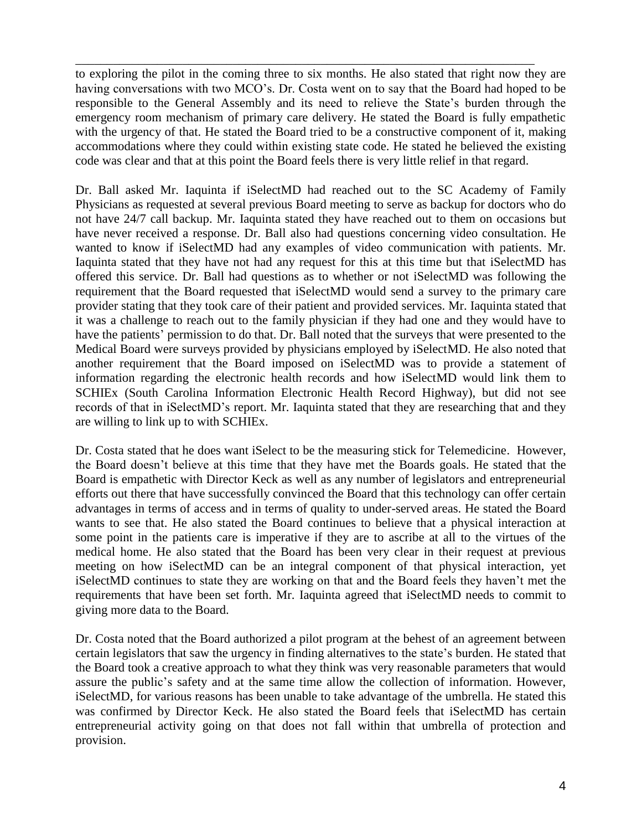to exploring the pilot in the coming three to six months. He also stated that right now they are having conversations with two MCO's. Dr. Costa went on to say that the Board had hoped to be responsible to the General Assembly and its need to relieve the State's burden through the emergency room mechanism of primary care delivery. He stated the Board is fully empathetic with the urgency of that. He stated the Board tried to be a constructive component of it, making accommodations where they could within existing state code. He stated he believed the existing code was clear and that at this point the Board feels there is very little relief in that regard.

\_\_\_\_\_\_\_\_\_\_\_\_\_\_\_\_\_\_\_\_\_\_\_\_\_\_\_\_\_\_\_\_\_\_\_\_\_\_\_\_\_\_\_\_\_\_\_\_\_\_\_\_\_\_\_\_\_\_\_\_\_\_\_\_\_\_\_\_\_\_\_\_\_

Dr. Ball asked Mr. Iaquinta if iSelectMD had reached out to the SC Academy of Family Physicians as requested at several previous Board meeting to serve as backup for doctors who do not have 24/7 call backup. Mr. Iaquinta stated they have reached out to them on occasions but have never received a response. Dr. Ball also had questions concerning video consultation. He wanted to know if iSelectMD had any examples of video communication with patients. Mr. Iaquinta stated that they have not had any request for this at this time but that iSelectMD has offered this service. Dr. Ball had questions as to whether or not iSelectMD was following the requirement that the Board requested that iSelectMD would send a survey to the primary care provider stating that they took care of their patient and provided services. Mr. Iaquinta stated that it was a challenge to reach out to the family physician if they had one and they would have to have the patients' permission to do that. Dr. Ball noted that the surveys that were presented to the Medical Board were surveys provided by physicians employed by iSelectMD. He also noted that another requirement that the Board imposed on iSelectMD was to provide a statement of information regarding the electronic health records and how iSelectMD would link them to SCHIEx (South Carolina Information Electronic Health Record Highway), but did not see records of that in iSelectMD's report. Mr. Iaquinta stated that they are researching that and they are willing to link up to with SCHIEx.

Dr. Costa stated that he does want iSelect to be the measuring stick for Telemedicine. However, the Board doesn't believe at this time that they have met the Boards goals. He stated that the Board is empathetic with Director Keck as well as any number of legislators and entrepreneurial efforts out there that have successfully convinced the Board that this technology can offer certain advantages in terms of access and in terms of quality to under-served areas. He stated the Board wants to see that. He also stated the Board continues to believe that a physical interaction at some point in the patients care is imperative if they are to ascribe at all to the virtues of the medical home. He also stated that the Board has been very clear in their request at previous meeting on how iSelectMD can be an integral component of that physical interaction, yet iSelectMD continues to state they are working on that and the Board feels they haven't met the requirements that have been set forth. Mr. Iaquinta agreed that iSelectMD needs to commit to giving more data to the Board.

Dr. Costa noted that the Board authorized a pilot program at the behest of an agreement between certain legislators that saw the urgency in finding alternatives to the state's burden. He stated that the Board took a creative approach to what they think was very reasonable parameters that would assure the public's safety and at the same time allow the collection of information. However, iSelectMD, for various reasons has been unable to take advantage of the umbrella. He stated this was confirmed by Director Keck. He also stated the Board feels that iSelectMD has certain entrepreneurial activity going on that does not fall within that umbrella of protection and provision.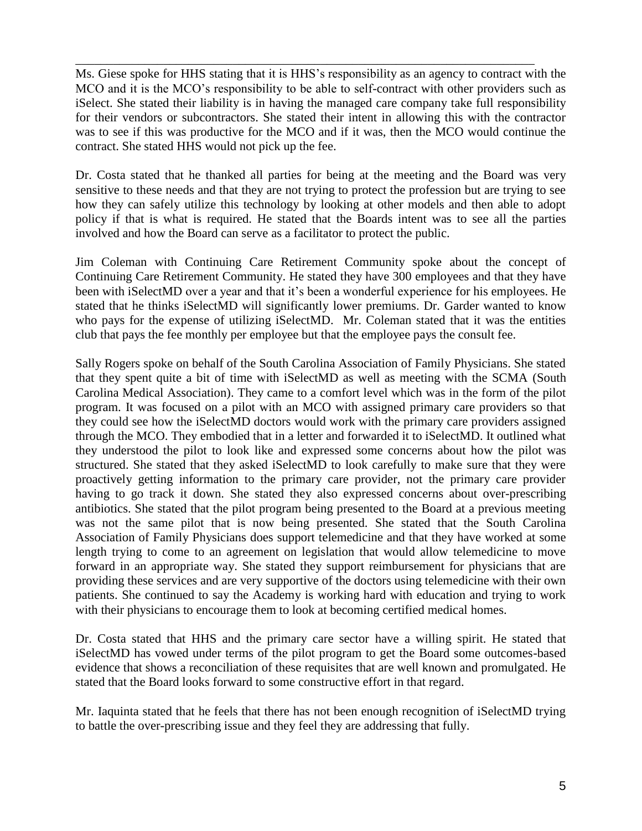Ms. Giese spoke for HHS stating that it is HHS's responsibility as an agency to contract with the MCO and it is the MCO's responsibility to be able to self-contract with other providers such as iSelect. She stated their liability is in having the managed care company take full responsibility for their vendors or subcontractors. She stated their intent in allowing this with the contractor was to see if this was productive for the MCO and if it was, then the MCO would continue the contract. She stated HHS would not pick up the fee.

\_\_\_\_\_\_\_\_\_\_\_\_\_\_\_\_\_\_\_\_\_\_\_\_\_\_\_\_\_\_\_\_\_\_\_\_\_\_\_\_\_\_\_\_\_\_\_\_\_\_\_\_\_\_\_\_\_\_\_\_\_\_\_\_\_\_\_\_\_\_\_\_\_

Dr. Costa stated that he thanked all parties for being at the meeting and the Board was very sensitive to these needs and that they are not trying to protect the profession but are trying to see how they can safely utilize this technology by looking at other models and then able to adopt policy if that is what is required. He stated that the Boards intent was to see all the parties involved and how the Board can serve as a facilitator to protect the public.

Jim Coleman with Continuing Care Retirement Community spoke about the concept of Continuing Care Retirement Community. He stated they have 300 employees and that they have been with iSelectMD over a year and that it's been a wonderful experience for his employees. He stated that he thinks iSelectMD will significantly lower premiums. Dr. Garder wanted to know who pays for the expense of utilizing iSelectMD. Mr. Coleman stated that it was the entities club that pays the fee monthly per employee but that the employee pays the consult fee.

Sally Rogers spoke on behalf of the South Carolina Association of Family Physicians. She stated that they spent quite a bit of time with iSelectMD as well as meeting with the SCMA (South Carolina Medical Association). They came to a comfort level which was in the form of the pilot program. It was focused on a pilot with an MCO with assigned primary care providers so that they could see how the iSelectMD doctors would work with the primary care providers assigned through the MCO. They embodied that in a letter and forwarded it to iSelectMD. It outlined what they understood the pilot to look like and expressed some concerns about how the pilot was structured. She stated that they asked iSelectMD to look carefully to make sure that they were proactively getting information to the primary care provider, not the primary care provider having to go track it down. She stated they also expressed concerns about over-prescribing antibiotics. She stated that the pilot program being presented to the Board at a previous meeting was not the same pilot that is now being presented. She stated that the South Carolina Association of Family Physicians does support telemedicine and that they have worked at some length trying to come to an agreement on legislation that would allow telemedicine to move forward in an appropriate way. She stated they support reimbursement for physicians that are providing these services and are very supportive of the doctors using telemedicine with their own patients. She continued to say the Academy is working hard with education and trying to work with their physicians to encourage them to look at becoming certified medical homes.

Dr. Costa stated that HHS and the primary care sector have a willing spirit. He stated that iSelectMD has vowed under terms of the pilot program to get the Board some outcomes-based evidence that shows a reconciliation of these requisites that are well known and promulgated. He stated that the Board looks forward to some constructive effort in that regard.

Mr. Iaquinta stated that he feels that there has not been enough recognition of iSelectMD trying to battle the over-prescribing issue and they feel they are addressing that fully.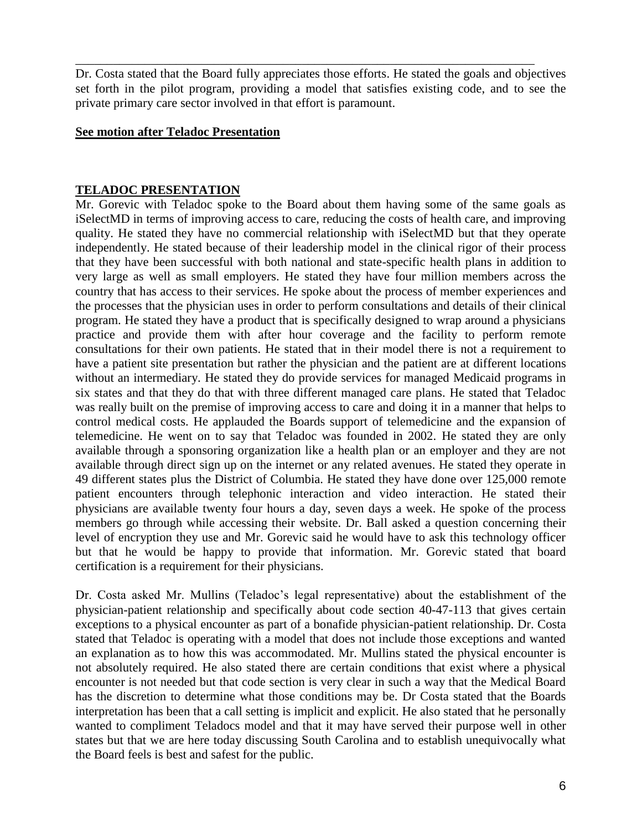Dr. Costa stated that the Board fully appreciates those efforts. He stated the goals and objectives set forth in the pilot program, providing a model that satisfies existing code, and to see the private primary care sector involved in that effort is paramount.

\_\_\_\_\_\_\_\_\_\_\_\_\_\_\_\_\_\_\_\_\_\_\_\_\_\_\_\_\_\_\_\_\_\_\_\_\_\_\_\_\_\_\_\_\_\_\_\_\_\_\_\_\_\_\_\_\_\_\_\_\_\_\_\_\_\_\_\_\_\_\_\_\_

#### **See motion after Teladoc Presentation**

#### **TELADOC PRESENTATION**

Mr. Gorevic with Teladoc spoke to the Board about them having some of the same goals as iSelectMD in terms of improving access to care, reducing the costs of health care, and improving quality. He stated they have no commercial relationship with iSelectMD but that they operate independently. He stated because of their leadership model in the clinical rigor of their process that they have been successful with both national and state-specific health plans in addition to very large as well as small employers. He stated they have four million members across the country that has access to their services. He spoke about the process of member experiences and the processes that the physician uses in order to perform consultations and details of their clinical program. He stated they have a product that is specifically designed to wrap around a physicians practice and provide them with after hour coverage and the facility to perform remote consultations for their own patients. He stated that in their model there is not a requirement to have a patient site presentation but rather the physician and the patient are at different locations without an intermediary. He stated they do provide services for managed Medicaid programs in six states and that they do that with three different managed care plans. He stated that Teladoc was really built on the premise of improving access to care and doing it in a manner that helps to control medical costs. He applauded the Boards support of telemedicine and the expansion of telemedicine. He went on to say that Teladoc was founded in 2002. He stated they are only available through a sponsoring organization like a health plan or an employer and they are not available through direct sign up on the internet or any related avenues. He stated they operate in 49 different states plus the District of Columbia. He stated they have done over 125,000 remote patient encounters through telephonic interaction and video interaction. He stated their physicians are available twenty four hours a day, seven days a week. He spoke of the process members go through while accessing their website. Dr. Ball asked a question concerning their level of encryption they use and Mr. Gorevic said he would have to ask this technology officer but that he would be happy to provide that information. Mr. Gorevic stated that board certification is a requirement for their physicians.

Dr. Costa asked Mr. Mullins (Teladoc's legal representative) about the establishment of the physician-patient relationship and specifically about code section 40-47-113 that gives certain exceptions to a physical encounter as part of a bonafide physician-patient relationship. Dr. Costa stated that Teladoc is operating with a model that does not include those exceptions and wanted an explanation as to how this was accommodated. Mr. Mullins stated the physical encounter is not absolutely required. He also stated there are certain conditions that exist where a physical encounter is not needed but that code section is very clear in such a way that the Medical Board has the discretion to determine what those conditions may be. Dr Costa stated that the Boards interpretation has been that a call setting is implicit and explicit. He also stated that he personally wanted to compliment Teladocs model and that it may have served their purpose well in other states but that we are here today discussing South Carolina and to establish unequivocally what the Board feels is best and safest for the public.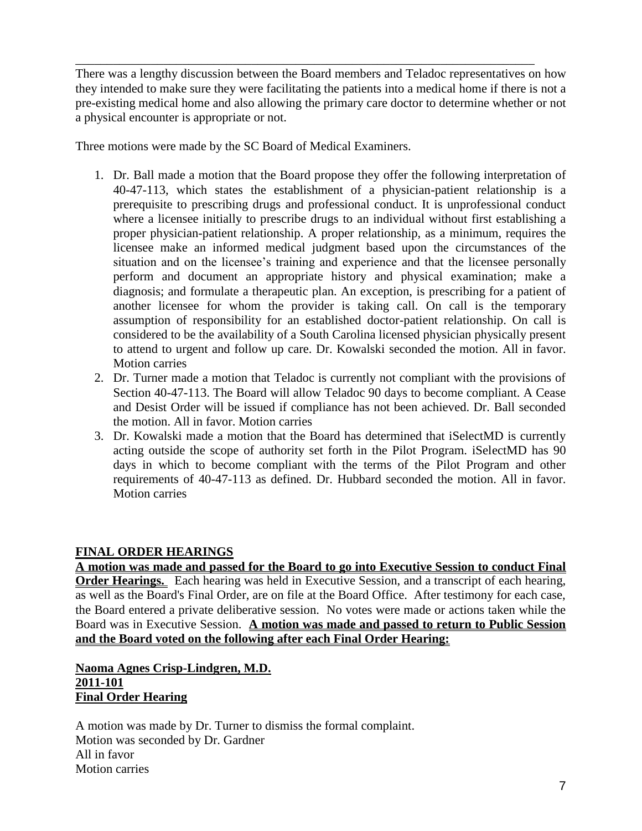There was a lengthy discussion between the Board members and Teladoc representatives on how they intended to make sure they were facilitating the patients into a medical home if there is not a pre-existing medical home and also allowing the primary care doctor to determine whether or not a physical encounter is appropriate or not.

\_\_\_\_\_\_\_\_\_\_\_\_\_\_\_\_\_\_\_\_\_\_\_\_\_\_\_\_\_\_\_\_\_\_\_\_\_\_\_\_\_\_\_\_\_\_\_\_\_\_\_\_\_\_\_\_\_\_\_\_\_\_\_\_\_\_\_\_\_\_\_\_\_

Three motions were made by the SC Board of Medical Examiners.

- 1. Dr. Ball made a motion that the Board propose they offer the following interpretation of 40-47-113, which states the establishment of a physician-patient relationship is a prerequisite to prescribing drugs and professional conduct. It is unprofessional conduct where a licensee initially to prescribe drugs to an individual without first establishing a proper physician-patient relationship. A proper relationship, as a minimum, requires the licensee make an informed medical judgment based upon the circumstances of the situation and on the licensee's training and experience and that the licensee personally perform and document an appropriate history and physical examination; make a diagnosis; and formulate a therapeutic plan. An exception, is prescribing for a patient of another licensee for whom the provider is taking call. On call is the temporary assumption of responsibility for an established doctor-patient relationship. On call is considered to be the availability of a South Carolina licensed physician physically present to attend to urgent and follow up care. Dr. Kowalski seconded the motion. All in favor. Motion carries
- 2. Dr. Turner made a motion that Teladoc is currently not compliant with the provisions of Section 40-47-113. The Board will allow Teladoc 90 days to become compliant. A Cease and Desist Order will be issued if compliance has not been achieved. Dr. Ball seconded the motion. All in favor. Motion carries
- 3. Dr. Kowalski made a motion that the Board has determined that iSelectMD is currently acting outside the scope of authority set forth in the Pilot Program. iSelectMD has 90 days in which to become compliant with the terms of the Pilot Program and other requirements of 40-47-113 as defined. Dr. Hubbard seconded the motion. All in favor. Motion carries

### **FINAL ORDER HEARINGS**

**A motion was made and passed for the Board to go into Executive Session to conduct Final Order Hearings.** Each hearing was held in Executive Session, and a transcript of each hearing, as well as the Board's Final Order, are on file at the Board Office. After testimony for each case, the Board entered a private deliberative session. No votes were made or actions taken while the Board was in Executive Session. **A motion was made and passed to return to Public Session and the Board voted on the following after each Final Order Hearing:**

### **Naoma Agnes Crisp-Lindgren, M.D. 2011-101 Final Order Hearing**

A motion was made by Dr. Turner to dismiss the formal complaint. Motion was seconded by Dr. Gardner All in favor Motion carries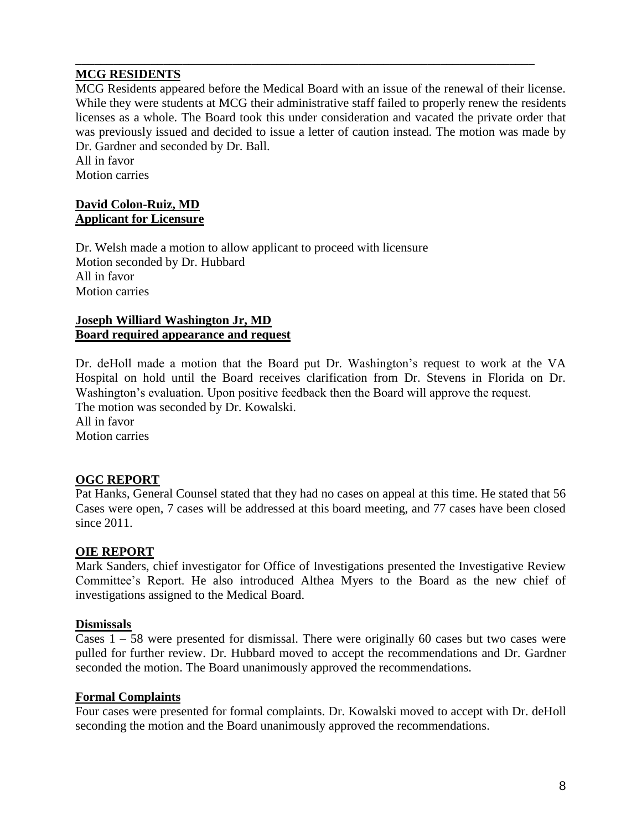### **MCG RESIDENTS**

MCG Residents appeared before the Medical Board with an issue of the renewal of their license. While they were students at MCG their administrative staff failed to properly renew the residents licenses as a whole. The Board took this under consideration and vacated the private order that was previously issued and decided to issue a letter of caution instead. The motion was made by Dr. Gardner and seconded by Dr. Ball.

\_\_\_\_\_\_\_\_\_\_\_\_\_\_\_\_\_\_\_\_\_\_\_\_\_\_\_\_\_\_\_\_\_\_\_\_\_\_\_\_\_\_\_\_\_\_\_\_\_\_\_\_\_\_\_\_\_\_\_\_\_\_\_\_\_\_\_\_\_\_\_\_\_

All in favor Motion carries

### **David Colon-Ruiz, MD Applicant for Licensure**

Dr. Welsh made a motion to allow applicant to proceed with licensure Motion seconded by Dr. Hubbard All in favor Motion carries

#### **Joseph Williard Washington Jr, MD Board required appearance and request**

Dr. deHoll made a motion that the Board put Dr. Washington's request to work at the VA Hospital on hold until the Board receives clarification from Dr. Stevens in Florida on Dr. Washington's evaluation. Upon positive feedback then the Board will approve the request. The motion was seconded by Dr. Kowalski.

All in favor Motion carries

# **OGC REPORT**

Pat Hanks, General Counsel stated that they had no cases on appeal at this time. He stated that 56 Cases were open, 7 cases will be addressed at this board meeting, and 77 cases have been closed since 2011.

### **OIE REPORT**

Mark Sanders, chief investigator for Office of Investigations presented the Investigative Review Committee's Report. He also introduced Althea Myers to the Board as the new chief of investigations assigned to the Medical Board.

### **Dismissals**

Cases  $1 - 58$  were presented for dismissal. There were originally 60 cases but two cases were pulled for further review. Dr. Hubbard moved to accept the recommendations and Dr. Gardner seconded the motion. The Board unanimously approved the recommendations.

### **Formal Complaints**

Four cases were presented for formal complaints. Dr. Kowalski moved to accept with Dr. deHoll seconding the motion and the Board unanimously approved the recommendations.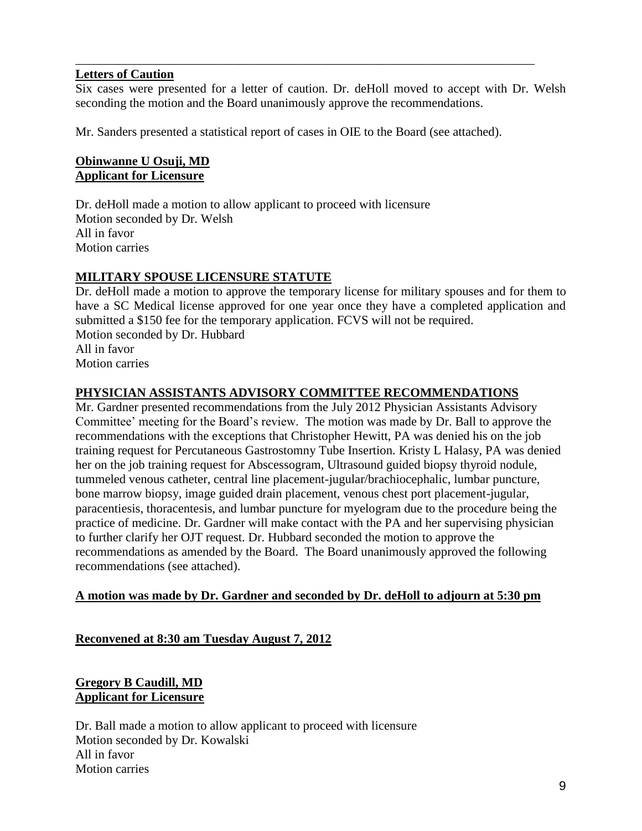#### **Letters of Caution**

Six cases were presented for a letter of caution. Dr. deHoll moved to accept with Dr. Welsh seconding the motion and the Board unanimously approve the recommendations.

\_\_\_\_\_\_\_\_\_\_\_\_\_\_\_\_\_\_\_\_\_\_\_\_\_\_\_\_\_\_\_\_\_\_\_\_\_\_\_\_\_\_\_\_\_\_\_\_\_\_\_\_\_\_\_\_\_\_\_\_\_\_\_\_\_\_\_\_\_\_\_\_\_

Mr. Sanders presented a statistical report of cases in OIE to the Board (see attached).

# **Obinwanne U Osuji, MD Applicant for Licensure**

Dr. deHoll made a motion to allow applicant to proceed with licensure Motion seconded by Dr. Welsh All in favor Motion carries

# **MILITARY SPOUSE LICENSURE STATUTE**

Dr. deHoll made a motion to approve the temporary license for military spouses and for them to have a SC Medical license approved for one year once they have a completed application and submitted a \$150 fee for the temporary application. FCVS will not be required. Motion seconded by Dr. Hubbard All in favor Motion carries

### **PHYSICIAN ASSISTANTS ADVISORY COMMITTEE RECOMMENDATIONS**

Mr. Gardner presented recommendations from the July 2012 Physician Assistants Advisory Committee' meeting for the Board's review. The motion was made by Dr. Ball to approve the recommendations with the exceptions that Christopher Hewitt, PA was denied his on the job training request for Percutaneous Gastrostomny Tube Insertion. Kristy L Halasy, PA was denied her on the job training request for Abscessogram, Ultrasound guided biopsy thyroid nodule, tummeled venous catheter, central line placement-jugular/brachiocephalic, lumbar puncture, bone marrow biopsy, image guided drain placement, venous chest port placement-jugular, paracentiesis, thoracentesis, and lumbar puncture for myelogram due to the procedure being the practice of medicine. Dr. Gardner will make contact with the PA and her supervising physician to further clarify her OJT request. Dr. Hubbard seconded the motion to approve the recommendations as amended by the Board. The Board unanimously approved the following recommendations (see attached).

### **A motion was made by Dr. Gardner and seconded by Dr. deHoll to adjourn at 5:30 pm**

### **Reconvened at 8:30 am Tuesday August 7, 2012**

# **Gregory B Caudill, MD Applicant for Licensure**

Dr. Ball made a motion to allow applicant to proceed with licensure Motion seconded by Dr. Kowalski All in favor Motion carries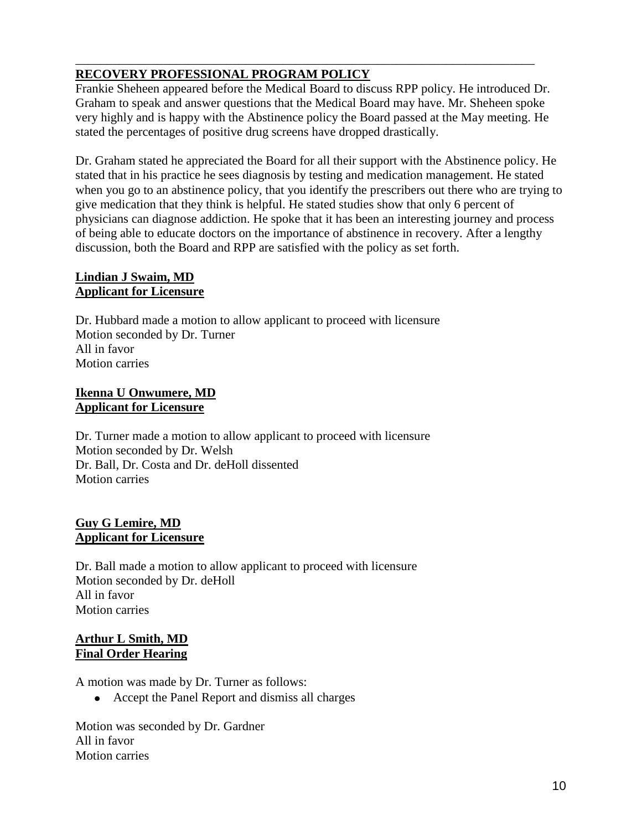# **RECOVERY PROFESSIONAL PROGRAM POLICY**

Frankie Sheheen appeared before the Medical Board to discuss RPP policy. He introduced Dr. Graham to speak and answer questions that the Medical Board may have. Mr. Sheheen spoke very highly and is happy with the Abstinence policy the Board passed at the May meeting. He stated the percentages of positive drug screens have dropped drastically.

\_\_\_\_\_\_\_\_\_\_\_\_\_\_\_\_\_\_\_\_\_\_\_\_\_\_\_\_\_\_\_\_\_\_\_\_\_\_\_\_\_\_\_\_\_\_\_\_\_\_\_\_\_\_\_\_\_\_\_\_\_\_\_\_\_\_\_\_\_\_\_\_\_

Dr. Graham stated he appreciated the Board for all their support with the Abstinence policy. He stated that in his practice he sees diagnosis by testing and medication management. He stated when you go to an abstinence policy, that you identify the prescribers out there who are trying to give medication that they think is helpful. He stated studies show that only 6 percent of physicians can diagnose addiction. He spoke that it has been an interesting journey and process of being able to educate doctors on the importance of abstinence in recovery. After a lengthy discussion, both the Board and RPP are satisfied with the policy as set forth.

# **Lindian J Swaim, MD Applicant for Licensure**

Dr. Hubbard made a motion to allow applicant to proceed with licensure Motion seconded by Dr. Turner All in favor Motion carries

# **Ikenna U Onwumere, MD Applicant for Licensure**

Dr. Turner made a motion to allow applicant to proceed with licensure Motion seconded by Dr. Welsh Dr. Ball, Dr. Costa and Dr. deHoll dissented Motion carries

### **Guy G Lemire, MD Applicant for Licensure**

Dr. Ball made a motion to allow applicant to proceed with licensure Motion seconded by Dr. deHoll All in favor Motion carries

### **Arthur L Smith, MD Final Order Hearing**

A motion was made by Dr. Turner as follows:

Accept the Panel Report and dismiss all charges

Motion was seconded by Dr. Gardner All in favor Motion carries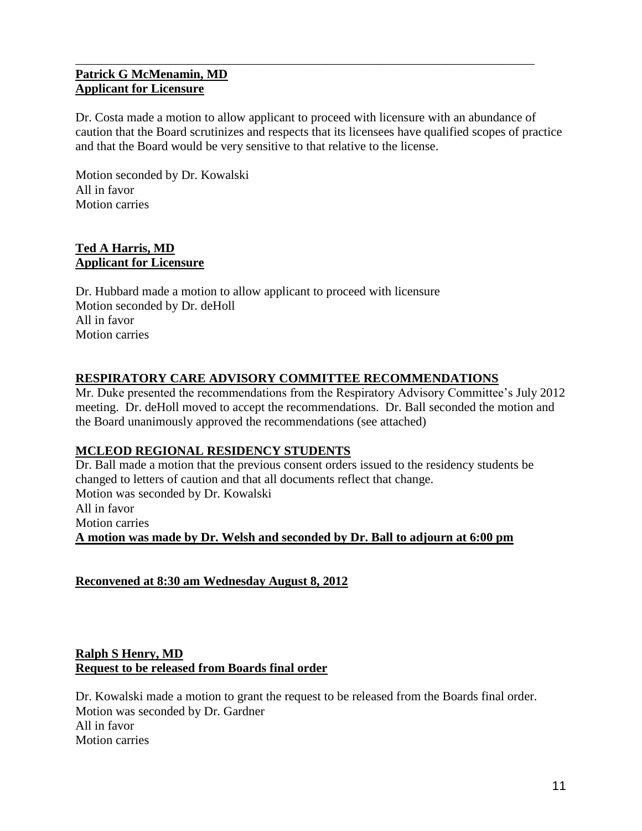### **Patrick G McMenamin, MD Applicant for Licensure**

Dr. Costa made a motion to allow applicant to proceed with licensure with an abundance of caution that the Board scrutinizes and respects that its licensees have qualified scopes of practice and that the Board would be very sensitive to that relative to the license.

\_\_\_\_\_\_\_\_\_\_\_\_\_\_\_\_\_\_\_\_\_\_\_\_\_\_\_\_\_\_\_\_\_\_\_\_\_\_\_\_\_\_\_\_\_\_\_\_\_\_\_\_\_\_\_\_\_\_\_\_\_\_\_\_\_\_\_\_\_\_\_\_\_

Motion seconded by Dr. Kowalski All in favor Motion carries

# **Ted A Harris, MD Applicant for Licensure**

Dr. Hubbard made a motion to allow applicant to proceed with licensure Motion seconded by Dr. deHoll All in favor Motion carries

# **RESPIRATORY CARE ADVISORY COMMITTEE RECOMMENDATIONS**

Mr. Duke presented the recommendations from the Respiratory Advisory Committee's July 2012 meeting. Dr. deHoll moved to accept the recommendations. Dr. Ball seconded the motion and the Board unanimously approved the recommendations (see attached)

### **MCLEOD REGIONAL RESIDENCY STUDENTS**

Dr. Ball made a motion that the previous consent orders issued to the residency students be changed to letters of caution and that all documents reflect that change. Motion was seconded by Dr. Kowalski All in favor Motion carries **A motion was made by Dr. Welsh and seconded by Dr. Ball to adjourn at 6:00 pm**

**Reconvened at 8:30 am Wednesday August 8, 2012**

# **Ralph S Henry, MD Request to be released from Boards final order**

Dr. Kowalski made a motion to grant the request to be released from the Boards final order. Motion was seconded by Dr. Gardner All in favor Motion carries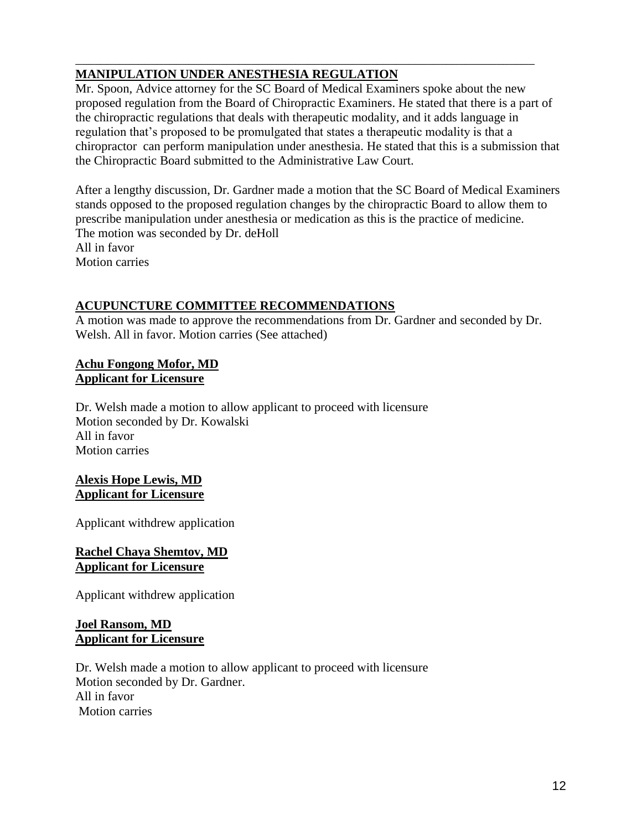# **MANIPULATION UNDER ANESTHESIA REGULATION**

Mr. Spoon, Advice attorney for the SC Board of Medical Examiners spoke about the new proposed regulation from the Board of Chiropractic Examiners. He stated that there is a part of the chiropractic regulations that deals with therapeutic modality, and it adds language in regulation that's proposed to be promulgated that states a therapeutic modality is that a chiropractor can perform manipulation under anesthesia. He stated that this is a submission that the Chiropractic Board submitted to the Administrative Law Court.

\_\_\_\_\_\_\_\_\_\_\_\_\_\_\_\_\_\_\_\_\_\_\_\_\_\_\_\_\_\_\_\_\_\_\_\_\_\_\_\_\_\_\_\_\_\_\_\_\_\_\_\_\_\_\_\_\_\_\_\_\_\_\_\_\_\_\_\_\_\_\_\_\_

After a lengthy discussion, Dr. Gardner made a motion that the SC Board of Medical Examiners stands opposed to the proposed regulation changes by the chiropractic Board to allow them to prescribe manipulation under anesthesia or medication as this is the practice of medicine. The motion was seconded by Dr. deHoll All in favor Motion carries

# **ACUPUNCTURE COMMITTEE RECOMMENDATIONS**

A motion was made to approve the recommendations from Dr. Gardner and seconded by Dr. Welsh. All in favor. Motion carries (See attached)

#### **Achu Fongong Mofor, MD Applicant for Licensure**

Dr. Welsh made a motion to allow applicant to proceed with licensure Motion seconded by Dr. Kowalski All in favor Motion carries

#### **Alexis Hope Lewis, MD Applicant for Licensure**

Applicant withdrew application

#### **Rachel Chaya Shemtov, MD Applicant for Licensure**

Applicant withdrew application

### **Joel Ransom, MD Applicant for Licensure**

Dr. Welsh made a motion to allow applicant to proceed with licensure Motion seconded by Dr. Gardner. All in favor Motion carries